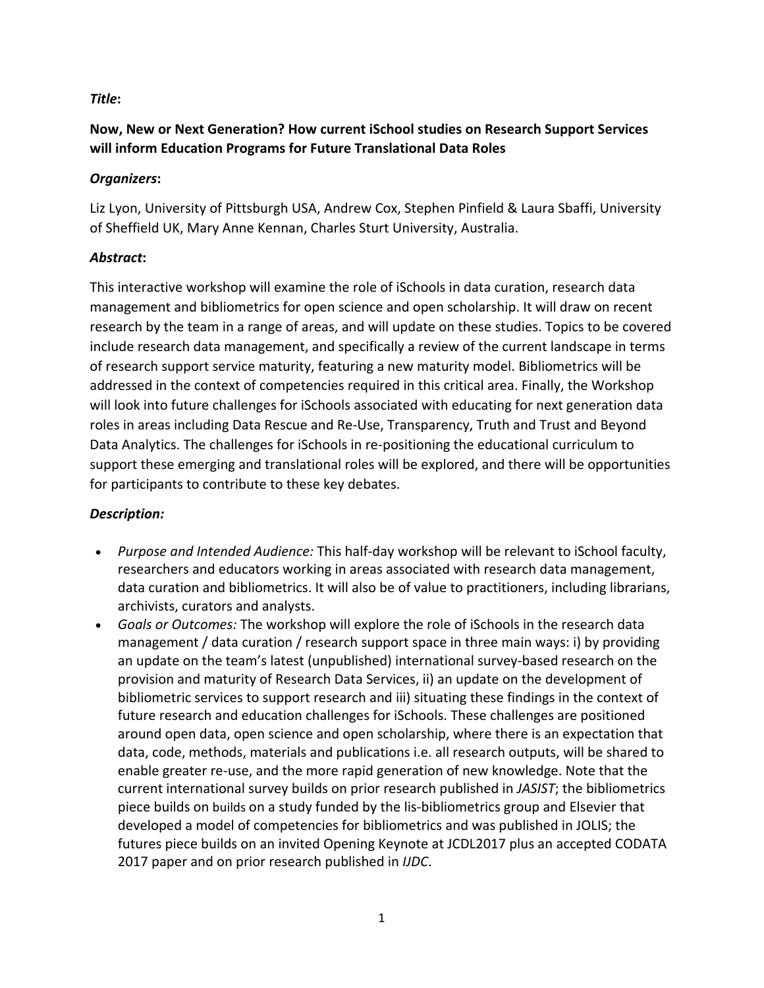### *Title***:**

# **Now, New or Next Generation? How current iSchool studies on Research Support Services will inform Education Programs for Future Translational Data Roles**

#### *Organizers***:**

Liz Lyon, University of Pittsburgh USA, Andrew Cox, Stephen Pinfield & Laura Sbaffi, University of Sheffield UK, Mary Anne Kennan, Charles Sturt University, Australia.

#### *Abstract***:**

This interactive workshop will examine the role of iSchools in data curation, research data management and bibliometrics for open science and open scholarship. It will draw on recent research by the team in a range of areas, and will update on these studies. Topics to be covered include research data management, and specifically a review of the current landscape in terms of research support service maturity, featuring a new maturity model. Bibliometrics will be addressed in the context of competencies required in this critical area. Finally, the Workshop will look into future challenges for iSchools associated with educating for next generation data roles in areas including Data Rescue and Re-Use, Transparency, Truth and Trust and Beyond Data Analytics. The challenges for iSchools in re-positioning the educational curriculum to support these emerging and translational roles will be explored, and there will be opportunities for participants to contribute to these key debates.

## *Description:*

- *Purpose and Intended Audience:* This half-day workshop will be relevant to iSchool faculty, researchers and educators working in areas associated with research data management, data curation and bibliometrics. It will also be of value to practitioners, including librarians, archivists, curators and analysts.
- *Goals or Outcomes:* The workshop will explore the role of iSchools in the research data management / data curation / research support space in three main ways: i) by providing an update on the team's latest (unpublished) international survey-based research on the provision and maturity of Research Data Services, ii) an update on the development of bibliometric services to support research and iii) situating these findings in the context of future research and education challenges for iSchools. These challenges are positioned around open data, open science and open scholarship, where there is an expectation that data, code, methods, materials and publications i.e. all research outputs, will be shared to enable greater re-use, and the more rapid generation of new knowledge. Note that the current international survey builds on prior research published in *JASIST*; the bibliometrics piece builds on builds on a study funded by the lis-bibliometrics group and Elsevier that developed a model of competencies for bibliometrics and was published in JOLIS; the futures piece builds on an invited Opening Keynote at JCDL2017 plus an accepted CODATA 2017 paper and on prior research published in *IJDC*.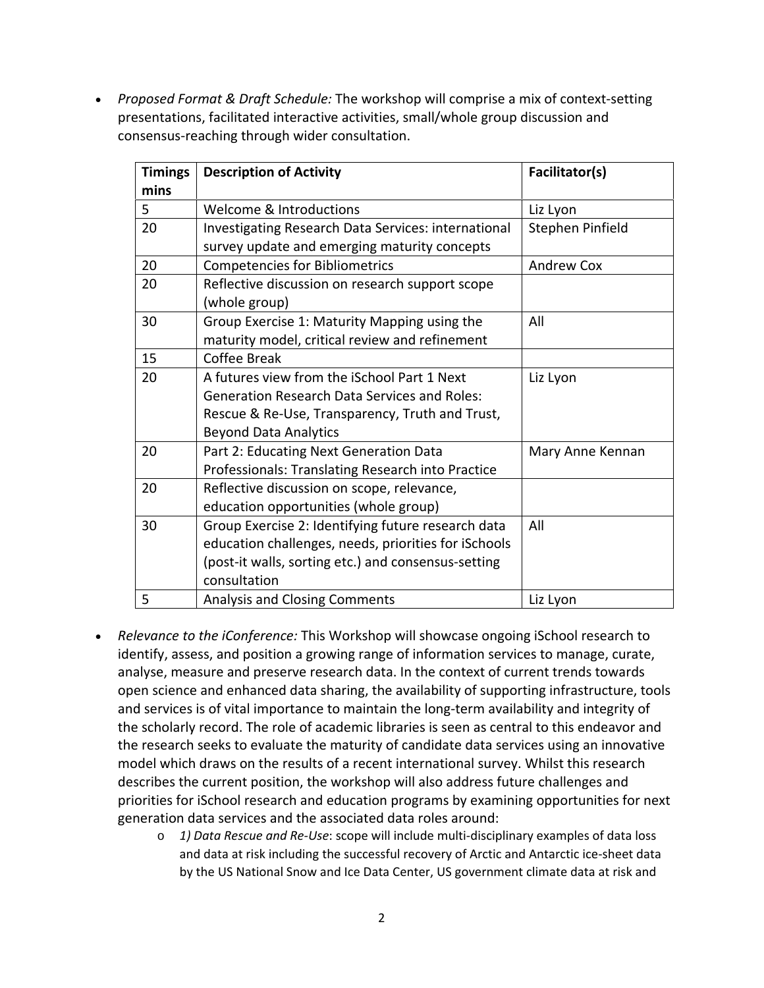• *Proposed Format & Draft Schedule:* The workshop will comprise a mix of context-setting presentations, facilitated interactive activities, small/whole group discussion and consensus-reaching through wider consultation.

| <b>Timings</b> | <b>Description of Activity</b>                             | Facilitator(s)    |
|----------------|------------------------------------------------------------|-------------------|
| mins           |                                                            |                   |
| 5              | Welcome & Introductions                                    | Liz Lyon          |
| 20             | <b>Investigating Research Data Services: international</b> | Stephen Pinfield  |
|                | survey update and emerging maturity concepts               |                   |
| 20             | <b>Competencies for Bibliometrics</b>                      | <b>Andrew Cox</b> |
| 20             | Reflective discussion on research support scope            |                   |
|                | (whole group)                                              |                   |
| 30             | Group Exercise 1: Maturity Mapping using the               | All               |
|                | maturity model, critical review and refinement             |                   |
| 15             | Coffee Break                                               |                   |
| 20             | A futures view from the iSchool Part 1 Next                | Liz Lyon          |
|                | <b>Generation Research Data Services and Roles:</b>        |                   |
|                | Rescue & Re-Use, Transparency, Truth and Trust,            |                   |
|                | <b>Beyond Data Analytics</b>                               |                   |
| 20             | Part 2: Educating Next Generation Data                     | Mary Anne Kennan  |
|                | Professionals: Translating Research into Practice          |                   |
| 20             | Reflective discussion on scope, relevance,                 |                   |
|                | education opportunities (whole group)                      |                   |
| 30             | Group Exercise 2: Identifying future research data         | All               |
|                | education challenges, needs, priorities for iSchools       |                   |
|                | (post-it walls, sorting etc.) and consensus-setting        |                   |
|                | consultation                                               |                   |
| 5              | <b>Analysis and Closing Comments</b>                       | Liz Lyon          |

- *Relevance to the iConference:* This Workshop will showcase ongoing iSchool research to identify, assess, and position a growing range of information services to manage, curate, analyse, measure and preserve research data. In the context of current trends towards open science and enhanced data sharing, the availability of supporting infrastructure, tools and services is of vital importance to maintain the long-term availability and integrity of the scholarly record. The role of academic libraries is seen as central to this endeavor and the research seeks to evaluate the maturity of candidate data services using an innovative model which draws on the results of a recent international survey. Whilst this research describes the current position, the workshop will also address future challenges and priorities for iSchool research and education programs by examining opportunities for next generation data services and the associated data roles around:
	- o *1) Data Rescue and Re-Use*: scope will include multi-disciplinary examples of data loss and data at risk including the successful recovery of Arctic and Antarctic ice-sheet data by the US National Snow and Ice Data Center, US government climate data at risk and